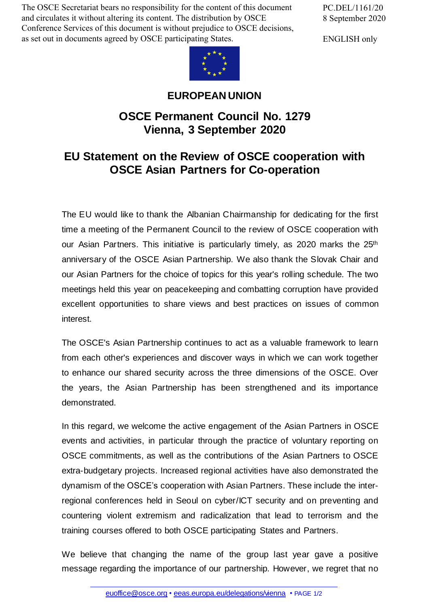The OSCE Secretariat bears no responsibility for the content of this document and circulates it without altering its content. The distribution by OSCE Conference Services of this document is without prejudice to OSCE decisions, as set out in documents agreed by OSCE participating States.

PC.DEL/1161/20 8 September 2020

ENGLISH only



## **EUROPEAN UNION**

## **OSCE Permanent Council No. 1279 Vienna, 3 September 2020**

## **EU Statement on the Review of OSCE cooperation with OSCE Asian Partners for Co-operation**

The EU would like to thank the Albanian Chairmanship for dedicating for the first time a meeting of the Permanent Council to the review of OSCE cooperation with our Asian Partners. This initiative is particularly timely, as 2020 marks the 25<sup>th</sup> anniversary of the OSCE Asian Partnership. We also thank the Slovak Chair and our Asian Partners for the choice of topics for this year's rolling schedule. The two meetings held this year on peacekeeping and combatting corruption have provided excellent opportunities to share views and best practices on issues of common interest.

The OSCE's Asian Partnership continues to act as a valuable framework to learn from each other's experiences and discover ways in which we can work together to enhance our shared security across the three dimensions of the OSCE. Over the years, the Asian Partnership has been strengthened and its importance demonstrated.

In this regard, we welcome the active engagement of the Asian Partners in OSCE events and activities, in particular through the practice of voluntary reporting on OSCE commitments, as well as the contributions of the Asian Partners to OSCE extra-budgetary projects. Increased regional activities have also demonstrated the dynamism of the OSCE's cooperation with Asian Partners. These include the interregional conferences held in Seoul on cyber/ICT security and on preventing and countering violent extremism and radicalization that lead to terrorism and the training courses offered to both OSCE participating States and Partners.

We believe that changing the name of the group last year gave a positive message r[egarding](mailto:euoffice@osce.org) the importance of our [partnership.](http://eeas.europa.eu/delegations/vienna) However, we regret that no